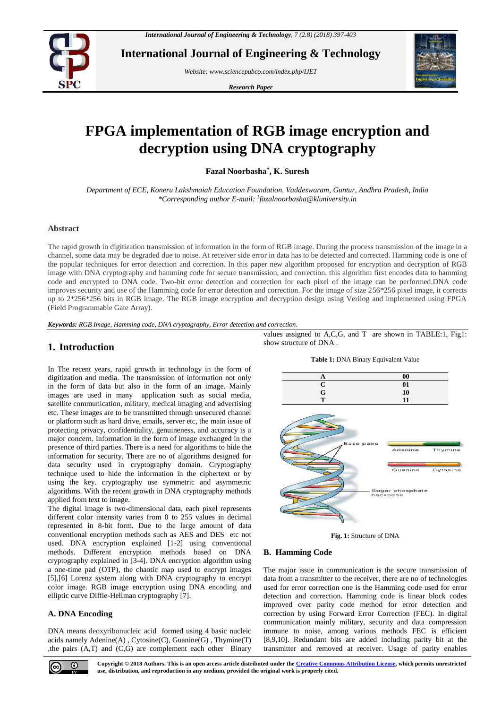

**International Journal of Engineering & Technology**

*Website: www.sciencepubco.com/index.php/IJET*

*Research Paper*



# **FPGA implementation of RGB image encryption and decryption using DNA cryptography**

**Fazal Noorbasha\* , K. Suresh**

*Department of ECE, Koneru Lakshmaiah Education Foundation, Vaddeswaram, Guntur, Andhra Pradesh, India \*Corresponding author E-mail: <sup>1</sup> [fazalnoorbasha@kluniversity.in](mailto:fazalnoorbasha@kluniversity.in)*

#### **Abstract**

The rapid growth in digitization transmission of information in the form of RGB image. During the process transmission of the image in a channel, some data may be degraded due to noise. At receiver side error in data has to be detected and corrected. Hamming code is one of the popular techniques for error detection and correction. In this paper new algorithm proposed for encryption and decryption of RGB image with DNA cryptography and hamming code for secure transmission, and correction. this algorithm first encodes data to hamming code and encrypted to DNA code. Two-bit error detection and correction for each pixel of the image can be performed.DNA code improves security and use of the Hamming code for error detection and correction. For the image of size 256\*256 pixel image, it corrects up to 2\*256\*256 bits in RGB image. The RGB image encryption and decryption design using Verilog and implemented using FPGA (Field Programmable Gate Array).

*Keywords: RGB Image, Hamming code, DNA cryptography, Error detection and correction.*

## **1. Introduction**

In The recent years, rapid growth in technology in the form of digitization and media. The transmission of information not only in the form of data but also in the form of an image. Mainly images are used in many application such as social media, satellite communication, military, medical imaging and advertising etc. These images are to be transmitted through unsecured channel or platform such as hard drive, emails, server etc, the main issue of protecting privacy, confidentiality, genuineness, and accuracy is a major concern. Information in the form of image exchanged in the presence of third parties. There is a need for algorithms to hide the information for security. There are no of algorithms designed for data security used in cryptography domain. Cryptography technique used to hide the information in the ciphertext or by using the key. cryptography use symmetric and asymmetric algorithms. With the recent growth in DNA cryptography methods applied from text to image.

The digital image is two-dimensional data, each pixel represents different color intensity varies from 0 to 255 values in decimal represented in 8-bit form. Due to the large amount of data conventional encryption methods such as AES and DES etc not used. DNA encryption explained [1-2] using conventional methods. Different encryption methods based on DNA cryptography explained in [3-4]. DNA encryption algorithm using a one-time pad (OTP), the chaotic map used to encrypt images [5],[6] Lorenz system along with DNA cryptography to encrypt color image. RGB image encryption using DNA encoding and elliptic curve Diffie-Hellman cryptography [7].

#### **A. DNA Encoding**

DNA means deoxyribonucleic acid formed using 4 basic nucleic acids namely Adenine(A) , Cytosine(C), Guanine(G) , Thymine(T) ,the pairs (A,T) and (C,G) are complement each other Binary

values assigned to A,C,G, and T are shown in TABLE:1, Fig1: show structure of DNA .



**Fig. 1:** Structure of DNA

#### **B. Hamming Code**

The major issue in communication is the secure transmission of data from a transmitter to the receiver, there are no of technologies used for error correction one is the Hamming code used for error detection and correction. Hamming code is linear block codes improved over parity code method for error detection and correction by using Forward Error Correction (FEC). In digital communication mainly military, security and data compression immune to noise, among various methods FEC is efficient [8,9,10]. Redundant bits are added including parity bit at the transmitter and removed at receiver. Usage of parity enables

 $\odot$  $\sqrt{cc}$ 

**Copyright © 2018 Authors. This is an open access article distributed under the [Creative Commons Attribution License,](http://creativecommons.org/licenses/by/3.0/) which permits unrestricted use, distribution, and reproduction in any medium, provided the original work is properly cited.**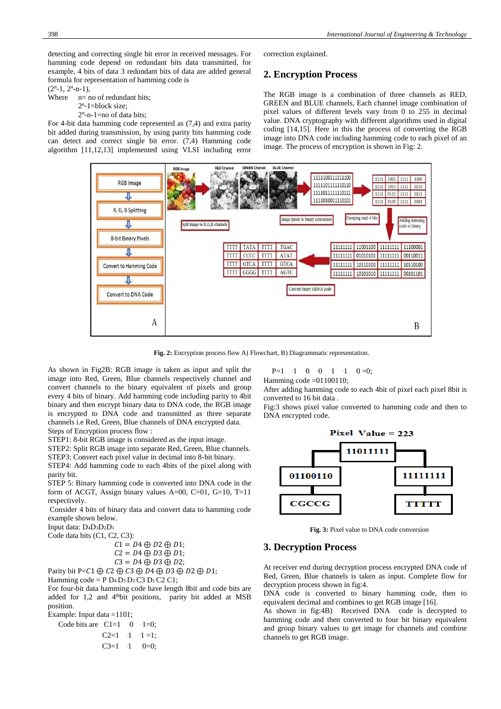detecting and correcting single bit error in received messages. For hamming code depend on redundant bits data transmitted, for example, 4 bits of data 3 redundant bits of data are added general formula for representation of hamming code is

 $(2<sup>n</sup>-1, 2<sup>n</sup>-n-1),$ Where  $n=$  no of redundant bits:

- 2 n -1=block size;
- $2^n$ -n-1=no of data bits;

For 4-bit data hamming code represented as (7,4) and extra parity bit added during transmission, by using parity bits hamming code can detect and correct single bit error. (7,4) Hamming code algorithm [11,12,13] implemented using VLSI including error correction explained.

### **2. Encryption Process**

The RGB image is a combination of three channels as RED, GREEN and BLUE channels, Each channel image combination of pixel values of different levels vary from 0 to 255 in decimal value. DNA cryptography with different algorithms used in digital coding [14,15]. Here in this the process of converting the RGB image into DNA code including hamming code to each pixel of an image. The process of encryption is shown in Fig: 2.



**Fig. 2:** Encryption process flow A) Flowchart, B) Diagrammatic representation.

As shown in Fig2B: RGB image is taken as input and split the image into Red, Green, Blue channels respectively channel and convert channels to the binary equivalent of pixels and group every 4 bits of binary. Add hamming code including parity to 4bit binary and then encrypt binary data to DNA code, the RGB image is encrypted to DNA code and transmitted as three separate channels i.e Red, Green, Blue channels of DNA encrypted data. Steps of Encryption process flow :

STEP1: 8-bit RGB image is considered as the input image.

STEP2: Split RGB image into separate Red, Green, Blue channels.

STEP3: Convert each pixel value in decimal into 8-bit binary. STEP4: Add hamming code to each 4bits of the pixel along with

parity bit.

STEP 5: Binary hamming code is converted into DNA code in the form of ACGT, Assign binary values A=00, C=01, G=10, T=11 respectively.

Consider 4 bits of binary data and convert data to hamming code example shown below.

Input data: D4D3D2D<sup>1</sup>

Code data bits (C1, C2, C3):

 $C1 = D4 \oplus D2 \oplus D1;$  $C2 = D4 \oplus D3 \oplus D1$ :  $C3 = D4 \oplus D3 \oplus D2;$ 

Parity bit P= $C1 \oplus C2 \oplus C3 \oplus D4 \oplus D3 \oplus D2 \oplus D1$ ;

Hamming code =  $P D_4 D_3 D_2 C_3 D_1 C_2 C_1$ ;

For four-bit data hamming code have length 8bit and code bits are added for 1,2 and 4<sup>th</sup>bit positions, parity bit added at MSB position.

Example: Input data =1101;

Code bits are  $C1=1$  0  $1=0$ :  $C2=1 \t1 \t1 =1;$  $C3=1$  1 0=0;

 $P=1$  1 0 0 1 1 0 =0; Hamming code  $=01100110$ ;

After adding hamming code to each 4bit of pixel each pixel 8bit is converted to 16 bit data .

Fig:3 shows pixel value converted to hamming code and then to DNA encrypted code.



**Fig. 3:** Pixel value to DNA code conversion

#### **3. Decryption Process**

At receiver end during decryption process encrypted DNA code of Red, Green, Blue channels is taken as input. Complete flow for decryption process shown in fig:4.

DNA code is converted to binary hamming code, then to equivalent decimal and combines to get RGB image [16].

As shown in fig:4B) Received DNA code is decrypted to hamming code and then converted to four bit binary equivalent and group binary values to get image for channels and combine channels to get RGB image.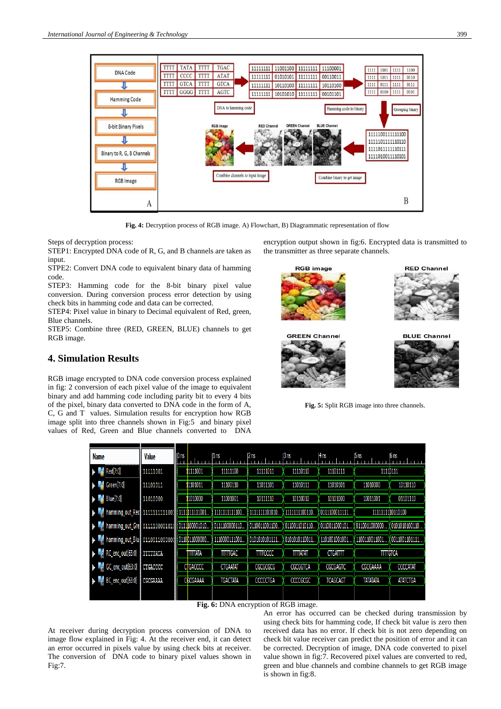

**Fig. 4:** Decryption process of RGB image. A) Flowchart, B) Diagrammatic representation of flow

Steps of decryption process:

STEP1: Encrypted DNA code of R, G, and B channels are taken as input.

STPE2: Convert DNA code to equivalent binary data of hamming code.

STEP3: Hamming code for the 8-bit binary pixel value conversion. During conversion process error detection by using check bits in hamming code and data can be corrected.

STEP4: Pixel value in binary to Decimal equivalent of Red, green, Blue channels.

STEP5: Combine three (RED, GREEN, BLUE) channels to get RGB image.

## **4. Simulation Results**

RGB image encrypted to DNA code conversion process explained in fig: 2 conversion of each pixel value of the image to equivalent binary and add hamming code including parity bit to every 4 bits of the pixel, binary data converted to DNA code in the form of A, C, G and T values. Simulation results for encryption how RGB image split into three channels shown in Fig:5 and binary pixel values of Red, Green and Blue channels converted to DNA encryption output shown in fig:6. Encrypted data is transmitted to the transmitter as three separate channels.







**BLUE Channel** 



**Fig. 5:** Split RGB image into three channels.

| <b>Name</b>                                                | Value           | 10 ns |                 | 1ns             | 2 <sub>ns</sub> | 13 ns           | 4 ns            | 5 <sub>ns</sub>   | l6 ns           |
|------------------------------------------------------------|-----------------|-------|-----------------|-----------------|-----------------|-----------------|-----------------|-------------------|-----------------|
| Red[7:0]                                                   | 11111001        |       | 1111001         | 11111100        | 11111011        | 11110110        | 11101111        | 11110111          |                 |
| $\blacksquare$ Green[7:0]                                  | 11101011        |       | 1101011         | 11100110        | 11011101        | 11010111        | 11010101        | 11010000          | 10110110        |
| $M$ Blue[7:0]                                              | 11010000        |       | 1010000         | 11001001        | 10111110        | 10110010        | 10101000        | 10011001          | 01101110        |
| hamming_out_Rec 111111111100: 1111 <mark>111111001</mark>  |                 |       |                 | 11111111111100  | 1111111101010.  | 1111111100110   | 0111100011111   | 11111111 10110100 |                 |
| hamming_out_Gre 011110000101( 0111 <mark>100001010.</mark> |                 |       |                 | 0111100000110   | (0110011001100  | 0110011010110   | 0110011000101   | 0110011000000     | 0101010100110   |
| hamming_out_Blu  0110011000000  0110011000000              |                 |       |                 | 1110000111001   | 0101010101111.  | 0101010110011   | 1101001001001.  | 1100110011001     | 0011001101111.  |
| RC_enc_out[63:0]                                           | <b>ГТТТТАТА</b> |       | ITITATA         | TITTIGAC        | TTTCCCC         | <b>TITTATAT</b> | <b>CTGATTIT</b> | <b>TTTTGTCA</b>   |                 |
| 6 GC_enc_out[63:0] CTGACCCC                                |                 |       | <b>CTGACCCC</b> | <b>CTGAATAT</b> | CGCGCGCG        | CGCGGTCA        | CGCGAGTC        | CGCGAAAA          | <b>CCCCATAT</b> |
| BC_enc_out[63:0]                                           | CGCGAAAA        |       | CGCGAAAA        | <b>TGACTATA</b> | CCCCCTGA        | CCCCGCGC        | <b>TCAGCAGT</b> | <b>TATATATA</b>   | <b>ATATCTGA</b> |
|                                                            |                 |       |                 |                 |                 |                 |                 |                   |                 |

**Fig. 6:** DNA encryption of RGB image.

At receiver during decryption process conversion of DNA to image flow explained in Fig: 4. At the receiver end, it can detect an error occurred in pixels value by using check bits at receiver. The conversion of DNA code to binary pixel values shown in Fig:7.

An error has occurred can be checked during transmission by using check bits for hamming code, If check bit value is zero then received data has no error. If check bit is not zero depending on check bit value receiver can predict the position of error and it can be corrected. Decryption of image, DNA code converted to pixel value shown in fig:7. Recovered pixel values are converted to red, green and blue channels and combine channels to get RGB image is shown in fig:8.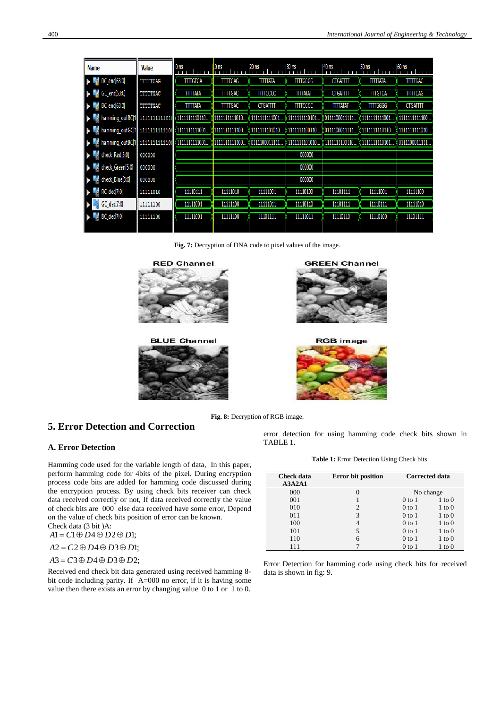| <b>Name</b><br>Value                                           | 10 ns           | 10 <sub>ns</sub> | 120 ns          | 30 ns           | 40 ns           | 50 <sub>ns</sub> | 60 <sub>ns</sub> |
|----------------------------------------------------------------|-----------------|------------------|-----------------|-----------------|-----------------|------------------|------------------|
| $\blacktriangleright$ M <sub>o</sub> RC enc[63:0]<br>тттттсае  | <b>TITTGTCA</b> | TITTTCAG         | <b>TITTTATA</b> | <b>TTTTGGGG</b> | <b>CTGATTTT</b> | <b>TITTTATA</b>  | <b>TITTTGAC</b>  |
| $\blacksquare$ GC_enc[63:0]<br>ттттеле                         | <b>TITTTATA</b> | <b>TITTTGAC</b>  | TTTTCCCC        | <b>TITTATAT</b> | <b>CTGATITT</b> | <b>TITTGTCA</b>  | <b>TITTTCAG</b>  |
| $\blacksquare$ BC enc[63:0]<br>TTTTTGAC                        | <b>TITTTATA</b> | <b>TTTTTGAC</b>  | <b>CTGATTTT</b> | <b>TITTCCCC</b> | <b>TITTATAT</b> | <b>TITTGGGG</b>  | <b>CTGATTTT</b>  |
| > 6 hamming_outRC[1 1111111111101                              | 11111111110110  | 1111111111010    | 1111111111001.  | 1111111110101   | 0111100011111   | 1111111111001.   | 11111111111100   |
| hamming_outGC[1 1111111111100                                  | 11111111111001  | 1111111111100.   | 1111111101010.  | 1111111100110   | 0111100011111.  | 1111111110110    | 11111111111010   |
| hamming_outBC[1 1111111111100                                  | 11111111111001  | 1111111111100    | 0111100011111.  | 1111111101010.  | 1111111100110.  | 1111111110101.   | 0111100011111    |
| <b>A</b> check_Red[5:0]<br>000000                              |                 |                  |                 | 000000          |                 |                  |                  |
| <b>A</b> check_Green[5:0]<br>000000                            |                 |                  |                 | 000000          |                 |                  |                  |
| $\blacktriangleright$ $\blacksquare$ check_Blue[5:0]<br>000000 |                 |                  |                 | 000000          |                 |                  |                  |
| $R \in \text{dec}[7:0]$<br>11111010                            | 11110111        | 11111010         | 11111001        | 11110100        | 11101111        | 11111001         | 11111100         |
| $\Box$ GC_dec[7:0]<br>11111100                                 | 11111001        | 11111100         | 11111011        | 11110110        | 11101111        | 11110111         | 11111010         |
| $BC_{c}$ dec[7:0]<br>11111100                                  | 11111001        | 11111100         | 11101111        | 11111011        | 11110110        | 11110100         | 11101111         |
|                                                                |                 |                  |                 |                 |                 |                  |                  |

**Fig. 7:** Decryption of DNA code to pixel values of the image.

**RED Channel** 





**RGB** image

**Fig. 8:** Decryption of RGB image.

TABLE 1.

## **5. Error Detection and Correction**

# **A. Error Detection**

Hamming code used for the variable length of data, In this paper, perform hamming code for 4bits of the pixel. During encryption process code bits are added for hamming code discussed during the encryption process. By using check bits receiver can check data received correctly or not, If data received correctly the value of check bits are 000 else data received have some error, Depend on the value of check bits position of error can be known.

Check data (3 bit )A:

 $A1 = C1 \oplus D4 \oplus D2 \oplus D1;$ 

 $A2 = C2 \oplus D4 \oplus D3 \oplus D1;$ 

$$
A3 = C3 \oplus D4 \oplus D3 \oplus D2;
$$

Received end check bit data generated using received hamming 8 bit code including parity. If A=000 no error, if it is having some value then there exists an error by changing value 0 to 1 or 1 to 0.

**Table 1:** Error Detection Using Check bits

error detection for using hamming code check bits shown in

| <b>Check data</b> | <b>Error bit position</b> |            | Corrected data    |
|-------------------|---------------------------|------------|-------------------|
| A3A2A1            |                           |            |                   |
| 000               |                           |            | No change         |
| 001               |                           | $0$ to 1   | $1 \text{ to } 0$ |
| 010               | $\mathfrak{D}$            | $0$ to $1$ | $1 \text{ to } 0$ |
| 011               | 3                         | $0$ to $1$ | $1 \text{ to } 0$ |
| 100               | 4                         | $0$ to $1$ | $1 \text{ to } 0$ |
| 101               | 5                         | $0$ to 1   | $1 \text{ to } 0$ |
| 110               | 6                         | $0$ to 1   | $1 \text{ to } 0$ |
| $\overline{11}$   |                           | $0$ to 1   | 1 to 0            |

Error Detection for hamming code using check bits for received data is shown in fig: 9.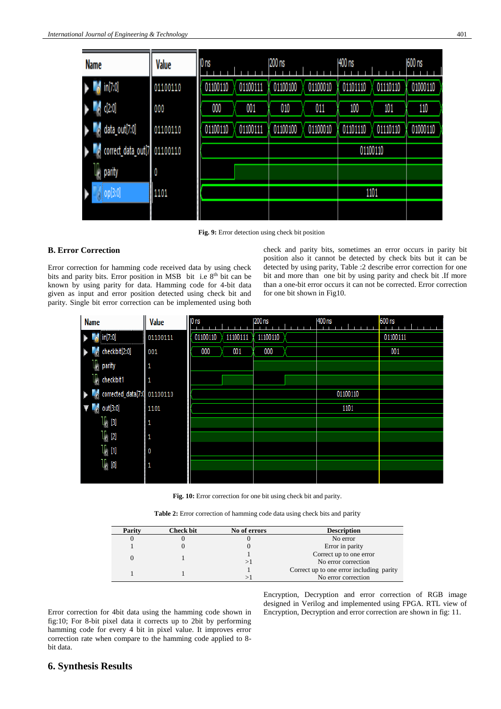| <b>Name</b>                    | Value    | 0 ns     |          | 200 ns   |          | 400 ns   |          | 600 ns   |
|--------------------------------|----------|----------|----------|----------|----------|----------|----------|----------|
| M<br>in[7:0]                   | 01100110 | 01100110 | 01100111 | 01100100 | 01100010 | 01101110 | 01110110 | 01000110 |
| $\epsilon$ c[2:0]              | 000      | 000      | 001      | 010      | 011      | 100      | 101      | 110      |
| data_out[7:0]                  | 01100110 | 01100110 | 01100111 | 01100100 | 01100010 | 01101110 | 01110110 | 01000110 |
| correct_data_out[7 01100110    |          |          |          |          |          | 01100110 |          |          |
| $\mathbb{U}_\mathbb{R}$ parity | 0        |          |          |          |          |          |          |          |
| $\bigcirc$ [op[3:0]            | 1101     |          |          |          |          | 1101     |          |          |
|                                |          |          |          |          |          |          |          |          |

**Fig. 9:** Error detection using check bit position

### **B. Error Correction**

Error correction for hamming code received data by using check bits and parity bits. Error position in MSB bit i.e 8<sup>th</sup> bit can be known by using parity for data. Hamming code for 4-bit data given as input and error position detected using check bit and parity. Single bit error correction can be implemented using both check and parity bits, sometimes an error occurs in parity bit position also it cannot be detected by check bits but it can be detected by using parity, Table :2 describe error correction for one bit and more than one bit by using parity and check bit .If more than a one-bit error occurs it can not be corrected. Error correction for one bit shown in Fig10.

| <b>Name</b>                    | Value    | 0 <sub>ns</sub> |          | 200 ns   | 400 ns   | 600 ns   |
|--------------------------------|----------|-----------------|----------|----------|----------|----------|
| $\frac{1}{2}$ in [7:0]         | 01100111 | 01100110        | 11100111 | 11100110 |          | 01100111 |
| checkbit[2:0]<br>ò             | 001      | 000             | 001      | 000      |          | 001      |
| $\mathbb{U}_\mathbb{R}$ parity | 1        |                 |          |          |          |          |
| $\mathbb{I}$ checkbit1         | 1        |                 |          |          |          |          |
| corrected_data[7:( 01100110    |          |                 |          |          | 01100110 |          |
| $\epsilon$ out [3:0]           | 1101     |                 |          |          | 1101     |          |
| $\mathbb{I}$ [3]               | 1        |                 |          |          |          |          |
| 11. la                         | 1        |                 |          |          |          |          |
| 10. UI                         | 0        |                 |          |          |          |          |
| $\mathbb{I}^1$ [0]             | 1        |                 |          |          |          |          |
|                                |          |                 |          |          |          |          |

**Fig. 10:** Error correction for one bit using check bit and parity.

**Table 2:** Error correction of hamming code data using check bits and parity

| Parity | Check bit | No of errors | <b>Description</b>                       |
|--------|-----------|--------------|------------------------------------------|
|        |           |              | No error                                 |
|        |           |              | Error in parity                          |
|        |           |              | Correct up to one error                  |
|        |           |              | No error correction                      |
|        |           |              | Correct up to one error including parity |
|        |           |              | No error correction                      |

Error correction for 4bit data using the hamming code shown in fig:10; For 8-bit pixel data it corrects up to 2bit by performing hamming code for every 4 bit in pixel value. It improves error correction rate when compare to the hamming code applied to 8 bit data.

Encryption, Decryption and error correction of RGB image designed in Verilog and implemented using FPGA. RTL view of Encryption, Decryption and error correction are shown in fig: 11.

# **6. Synthesis Results**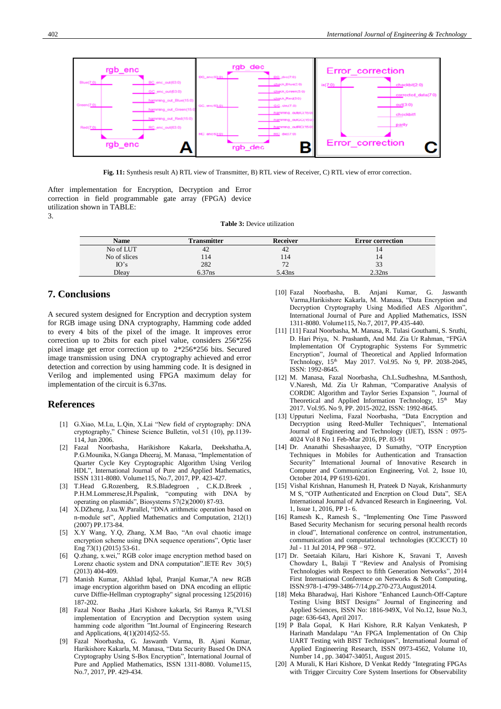

**Fig. 11:** Synthesis result A) RTL view of Transmitter, B) RTL view of Receiver, C) RTL view of error correction.

After implementation for Encryption, Decryption and Error correction in field programmable gate array (FPGA) device utilization shown in TABLE: 3.

|  |  | <b>Table 3: Device utilization</b> |
|--|--|------------------------------------|
|--|--|------------------------------------|

| <b>Name</b>  | <b>Transmitter</b> | Receiver          | <b>Error correction</b> |
|--------------|--------------------|-------------------|-------------------------|
| No of LUT    | 42                 | 42                |                         |
| No of slices | 114                | 14                |                         |
| IO's         | 282                | $\mathbf{z}$<br>∠ | 33                      |
| Dleav        | 5.37ns             | 5.43ns            | 2.32ns                  |

# **7. Conclusions**

A secured system designed for Encryption and decryption system for RGB image using DNA cryptography, Hamming code added to every 4 bits of the pixel of the image. It improves error correction up to 2bits for each pixel value, considers 256\*256 pixel image get error correction up to 2\*256\*256 bits. Secured image transmission using DNA cryptography achieved and error detection and correction by using hamming code. It is designed in Verilog and implemented using FPGA maximum delay for implementation of the circuit is 6.37ns.

#### **References**

- [1] G.Xiao, M.Lu, L.Qin, X.Lai "New field of cryptography: DNA cryptography," Chinese Science Bulletin, vol.51 (10), pp.1139- 114, Jun 2006.
- [2] Fazal Noorbasha, Harikishore Kakarla, Deekshatha.A, P.G.Mounika, N.Ganga Dheeraj, M. Manasa, "Implementation of Quarter Cycle Key Cryptographic Algorithm Using Verilog HDL", International Journal of Pure and Applied Mathematics, ISSN 1311-8080. Volume115, No.7, 2017, PP. 423-427.
- [3] T.Head G.Rozenberg, R.S.Bladegroen , C.K.D.Breek P.H.M.Lommerese,H.Pspalink, "computing with DNA by operating on plasmids", Biosystems  $57(2)(2000)$  87-93.
- [4] X.DZheng, J.xu.W.Parallel, "DNA arithmetic operation based on n-module set", Applied Mathematics and Computation, 212(1) (2007) PP.173-84.
- [5] X.Y Wang, Y.Q, Zhang, X.M Bao, "An oval chaotic image encryption scheme using DNA sequence operations", Optic laser Eng 73(1) (2015) 53-61.
- [6] Q.zhang, x.wei," RGB color image encryption method based on Lorenz chaotic system and DNA computation".IETE Rev 30(5) (2013) 404-409.
- [7] Manish Kumar, Akhlad Iqbal, Pranjal Kumar,"A new RGB image encryption algorithm based on DNA encoding an elliptic curve Diffie-Hellman cryptography" signal processing 125(2016) 187-202.
- [8] Fazal Noor Basha ,Hari Kishore kakarla, Sri Ramya R,"VLSI implementation of Encryption and Decryption system using hamming code algorithm "Int.Journal of Engineering Research and Applications, 4(1)(2014)52-55.
- [9] Fazal Noorbasha, G. Jaswanth Varma, B. Ajani Kumar, Harikishore Kakarla, M. Manasa, "Data Security Based On DNA Cryptography Using S-Box Encryption", International Journal of Pure and Applied Mathematics, ISSN 1311-8080. Volume115, No.7, 2017, PP. 429-434.
- [10] Fazal Noorbasha, B. Anjani Kumar, G. Jaswanth Varma,Harikishore Kakarla, M. Manasa, "Data Encryption and Decryption Cryptography Using Modified AES Algorithm", International Journal of Pure and Applied Mathematics, ISSN 1311-8080. Volume115, No.7, 2017, PP.435-440.
- [11] [11] Fazal Noorbasha, M. Manasa, R. Tulasi Gouthami, S. Sruthi, D. Hari Priya, N. Prashanth, And Md. Zia Ur Rahman, "FPGA Implementation Of Cryptographic Systems For Symmetric Encryption", Journal of Theoretical and Applied Information Technology, 15<sup>th</sup> May 2017. Vol.95. No 9, PP. 2038-2045, ISSN: 1992-8645.
- [12] M. Manasa, Fazal Noorbasha, Ch.L.Sudheshna, M.Santhosh, V.Naresh, Md. Zia Ur Rahman, "Comparative Analysis of CORDIC Algorithm and Taylor Series Expansion ", Journal of Theoretical and Applied Information Technology, 15<sup>th</sup> May 2017. Vol.95. No 9, PP. 2015-2022, ISSN: 1992-8645.
- [13] Upputuri Neelima, Fazal Noorbasha, "Data Encryption and Decryption using Reed-Muller Techniques", International Journal of Engineering and Technology (IJET), ISSN : 0975- 4024 Vol 8 No 1 Feb-Mar 2016, PP. 83-91
- [14] Dr. Ananathi Shesashaayee, D Sumathy, "OTP Encryption Techniques in Mobiles for Authentication and Transaction Security" International Journal of Innovative Research in Computer and Communication Engineering, Vol. 2, Issue 10, October 2014, PP 6193-6201.
- [15] Vishal Krishnan, Hanumesh H, Prateek D Nayak, Krishanmurty M S, "OTP Authenticated and Encrption on Cloud Data", SEA International Journal of Advanced Research in Engineering, Vol. 1, Issue 1, 2016, PP 1- 6.
- [16] Ramesh K., Ramesh S., "Implementing One Time Password Based Security Mechanism for securing personal health records in cloud", International conference on control, instrumentation communication and computational technologies (ICCICCT) 10 Jul - 11 Jul 2014, PP 968 – 972.
- [17] Dr. Seetaiah Kilaru, Hari Kishore K, Sravani T, Anvesh Chowdary L, Balaji T "Review and Analysis of Promising Technologies with Respect to fifth Generation Networks", 2014 First International Conference on Networks & Soft Computing, ISSN:978-1-4799-3486-7/14,pp.270-273,August2014.
- [18] Meka Bharadwaj, Hari Kishore "Enhanced Launch-Off-Capture Testing Using BIST Designs" Journal of Engineering and Applied Sciences, ISSN No: 1816-949X, Vol No.12, Issue No.3, page: 636-643, April 2017.
- [19] P Bala Gopal, K Hari Kishore, R.R Kalyan Venkatesh, P Harinath Mandalapu "An FPGA Implementation of On Chip UART Testing with BIST Techniques", International Journal of Applied Engineering Research, ISSN 0973-4562, Volume 10, Number 14 , pp. 34047-34051, August 2015.
- [20] A Murali, K Hari Kishore, D Venkat Reddy "Integrating FPGAs with Trigger Circuitry Core System Insertions for Observability